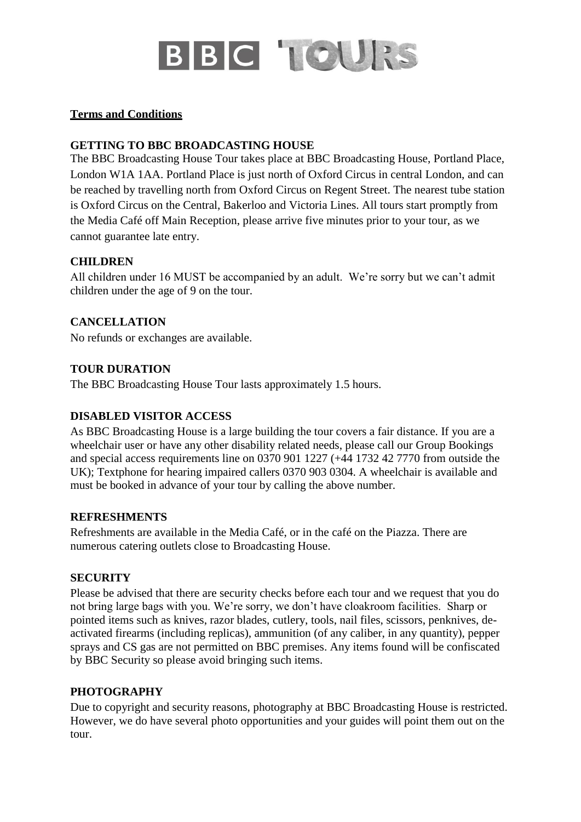

### **Terms and Conditions**

# **GETTING TO BBC BROADCASTING HOUSE**

The BBC Broadcasting House Tour takes place at BBC Broadcasting House, Portland Place, London W1A 1AA. Portland Place is just north of Oxford Circus in central London, and can be reached by travelling north from Oxford Circus on Regent Street. The nearest tube station is Oxford Circus on the Central, Bakerloo and Victoria Lines. All tours start promptly from the Media Café off Main Reception, please arrive five minutes prior to your tour, as we cannot guarantee late entry.

### **CHILDREN**

All children under 16 MUST be accompanied by an adult. We're sorry but we can't admit children under the age of 9 on the tour.

# **CANCELLATION**

No refunds or exchanges are available.

# **TOUR DURATION**

The BBC Broadcasting House Tour lasts approximately 1.5 hours.

# **DISABLED VISITOR ACCESS**

As BBC Broadcasting House is a large building the tour covers a fair distance. If you are a wheelchair user or have any other disability related needs, please call our Group Bookings and special access requirements line on 0370 901 1227 (+44 1732 42 7770 from outside the UK); Textphone for hearing impaired callers 0370 903 0304. A wheelchair is available and must be booked in advance of your tour by calling the above number.

#### **REFRESHMENTS**

Refreshments are available in the Media Café, or in the café on the Piazza. There are numerous catering outlets close to Broadcasting House.

#### **SECURITY**

Please be advised that there are security checks before each tour and we request that you do not bring large bags with you. We're sorry, we don't have cloakroom facilities. Sharp or pointed items such as knives, razor blades, cutlery, tools, nail files, scissors, penknives, deactivated firearms (including replicas), ammunition (of any caliber, in any quantity), pepper sprays and CS gas are not permitted on BBC premises. Any items found will be confiscated by BBC Security so please avoid bringing such items.

# **PHOTOGRAPHY**

Due to copyright and security reasons, photography at BBC Broadcasting House is restricted. However, we do have several photo opportunities and your guides will point them out on the tour.